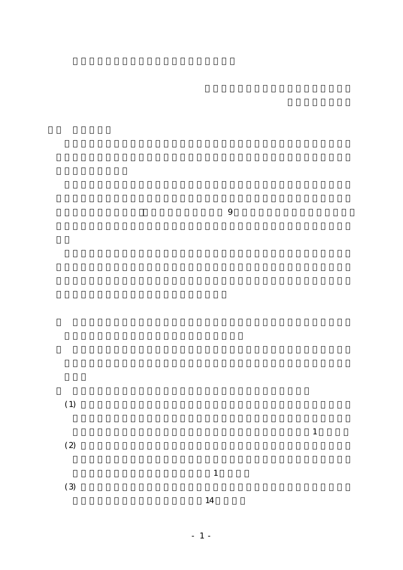| (1) |              |              |
|-----|--------------|--------------|
| (2) |              | $\mathbf{1}$ |
|     | $\mathbf{1}$ |              |
| (3) | 14           |              |

 $9$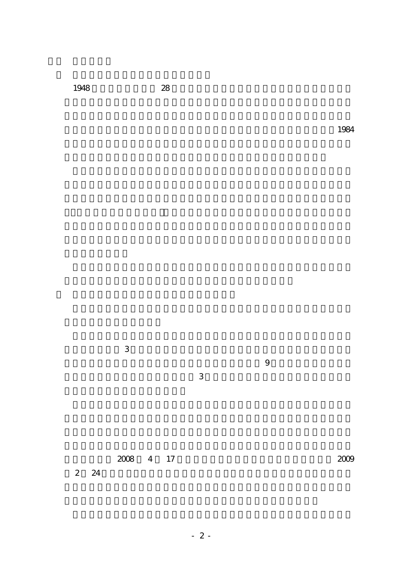1948 年の世界人権宣言 28 条は,「すべての者は,この宣言に規定する権利

4 17  $2009$ 

 $2 \t24$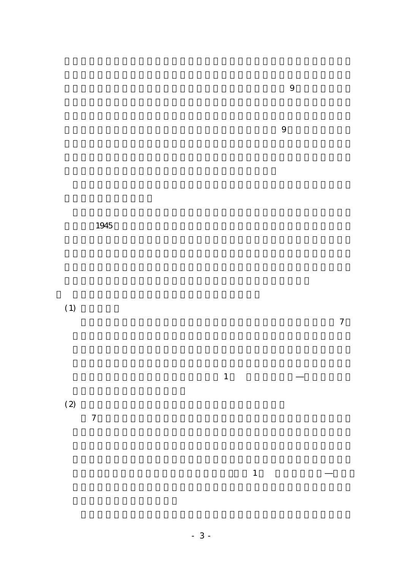$9$ 

 $9$ 

 $1945$ 

 $(1)$ 

 $\frac{1}{3}$ 

 $(2)$  $\overline{7}$ 

 $1$ 

 $\Gamma$ 

- 3 -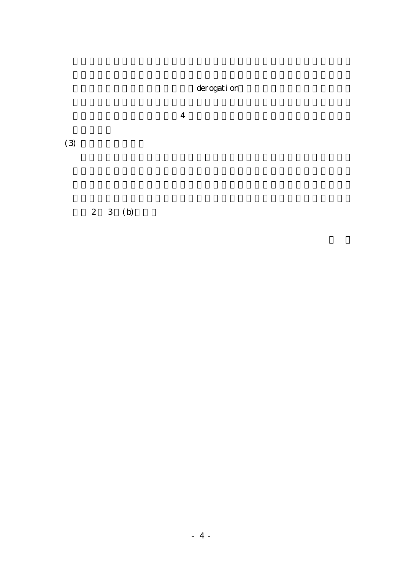derogation

 $4$ 

 $(3)$ 

 $2 \quad 3 \quad (b)$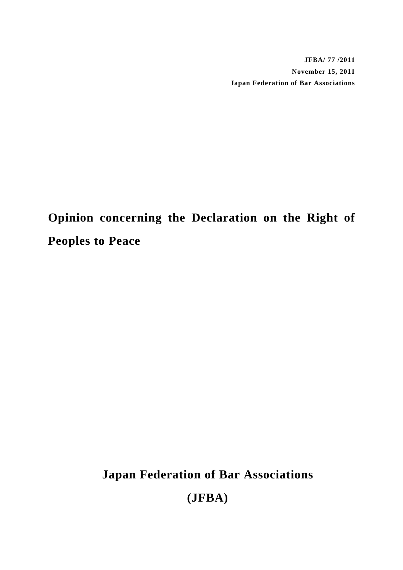**JFBA/ 77 /2011 November 15, 2011 Japan Federation of Bar Associations** 

**Opinion concerning the Declaration on the Right of Peoples to Peace** 

> **Japan Federation of Bar Associations (JFBA)**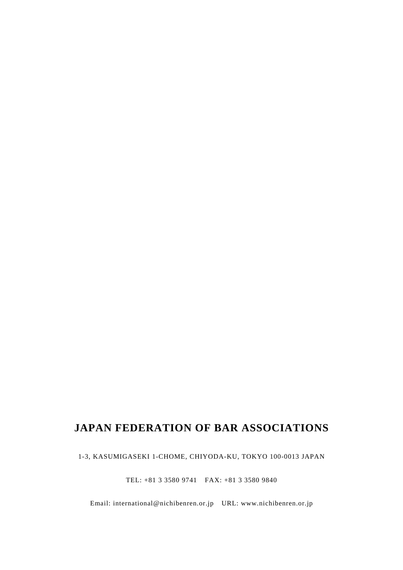# **JAPAN FEDERATION OF BAR ASSOCIATIONS**

1-3, KASUMIGASEKI 1-CHOME, CHIYODA-KU, TOKYO 100-0013 JAPAN

TEL: +81 3 3580 9741 FAX: +81 3 3580 9840

Email: international@nichibenren.or.jp URL: www.nichibenren.or.jp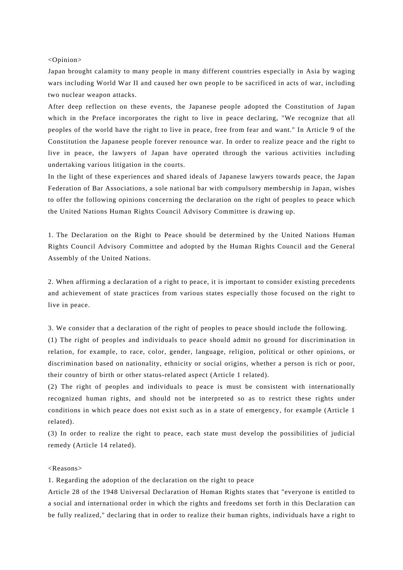#### <Opinion>

Japan brought calamity to many people in many different countries especially in Asia by waging wars including World War II and caused her own people to be sacrificed in acts of war, including two nuclear weapon attacks.

After deep reflection on these events, the Japanese people adopted the Constitution of Japan which in the Preface incorporates the right to live in peace declaring, "We recognize that all peoples of the world have the right to live in peace, free from fear and want." In Article 9 of the Constitution the Japanese people forever renounce war. In order to realize peace and the right to live in peace, the lawyers of Japan have operated through the various activities including undertaking various litigation in the courts.

In the light of these experiences and shared ideals of Japanese lawyers towards peace, the Japan Federation of Bar Associations, a sole national bar with compulsory membership in Japan, wishes to offer the following opinions concerning the declaration on the right of peoples to peace which the United Nations Human Rights Council Advisory Committee is drawing up.

1. The Declaration on the Right to Peace should be determined by the United Nations Human Rights Council Advisory Committee and adopted by the Human Rights Council and the General Assembly of the United Nations.

2. When affirming a declaration of a right to peace, it is important to consider existing precedents and achievement of state practices from various states especially those focused on the right to live in peace.

3. We consider that a declaration of the right of peoples to peace should include the following.

(1) The right of peoples and individuals to peace should admit no ground for discrimination in relation, for example, to race, color, gender, language, religion, political or other opinions, or discrimination based on nationality, ethnicity or social origins, whether a person is rich or poor, their country of birth or other status-related aspect (Article 1 related).

(2) The right of peoples and individuals to peace is must be consistent with internationally recognized human rights, and should not be interpreted so as to restrict these rights under conditions in which peace does not exist such as in a state of emergency, for example (Article 1 related).

(3) In order to realize the right to peace, each state must develop the possibilities of judicial remedy (Article 14 related).

#### <Reasons>

1. Regarding the adoption of the declaration on the right to peace

Article 28 of the 1948 Universal Declaration of Human Rights states that "everyone is entitled to a social and international order in which the rights and freedoms set forth in this Declaration can be fully realized," declaring that in order to realize their human rights, individuals have a right to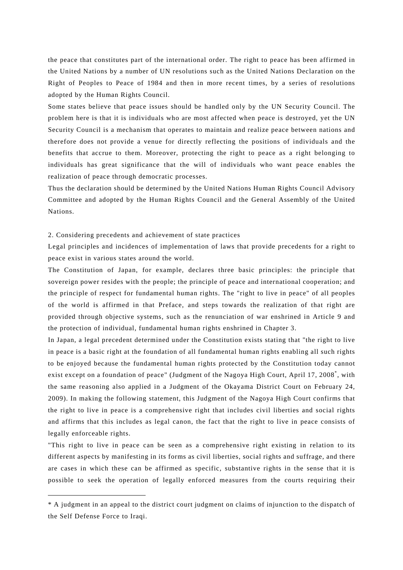the peace that constitutes part of the international order. The right to peace has been affirmed in the United Nations by a number of UN resolutions such as the United Nations Declaration on the Right of Peoples to Peace of 1984 and then in more recent times, by a series of resolutions adopted by the Human Rights Council.

Some states believe that peace issues should be handled only by the UN Security Council. The problem here is that it is individuals who are most affected when peace is destroyed, yet the UN Security Council is a mechanism that operates to maintain and realize peace between nations and therefore does not provide a venue for directly reflecting the positions of individuals and the benefits that accrue to them. Moreover, protecting the right to peace as a right belonging to individuals has great significance that the will of individuals who want peace enables the realization of peace through democratic processes.

Thus the declaration should be determined by the United Nations Human Rights Council Advisory Committee and adopted by the Human Rights Council and the General Assembly of the United Nations.

2. Considering precedents and achievement of state practices

 $\overline{a}$ 

Legal principles and incidences of implementation of laws that provide precedents for a right to peace exist in various states around the world.

The Constitution of Japan, for example, declares three basic principles: the principle that sovereign power resides with the people; the principle of peace and international cooperation; and the principle of respect for fundamental human rights. The "right to live in peace" of all peoples of the world is affirmed in that Preface, and steps towards the realization of that right are provided through objective systems, such as the renunciation of war enshrined in Article 9 and the protection of individual, fundamental human rights enshrined in Chapter 3.

In Japan, a legal precedent determined under the Constitution exists stating that "the right to live in peace is a basic right at the foundation of all fundamental human rights enabling all such rights to be enjoyed because the fundamental human rights protected by the Constitution today cannot exist except on a foundation of peace" (Judgment of the Nagoya High Court, April 17, 2008<sup>\*</sup>, with the same reasoning also applied in a Judgment of the Okayama District Court on February 24, 2009). In making the following statement, this Judgment of the Nagoya High Court confirms that the right to live in peace is a comprehensive right that includes civil liberties and social rights and affirms that this includes as legal canon, the fact that the right to live in peace consists of legally enforceable rights.

"This right to live in peace can be seen as a comprehensive right existing in relation to its different aspects by manifesting in its forms as civil liberties, social rights and suffrage, and there are cases in which these can be affirmed as specific, substantive rights in the sense that it is possible to seek the operation of legally enforced measures from the courts requiring their

<sup>\*</sup> A judgment in an appeal to the district court judgment on claims of injunction to the dispatch of the Self Defense Force to Iraqi.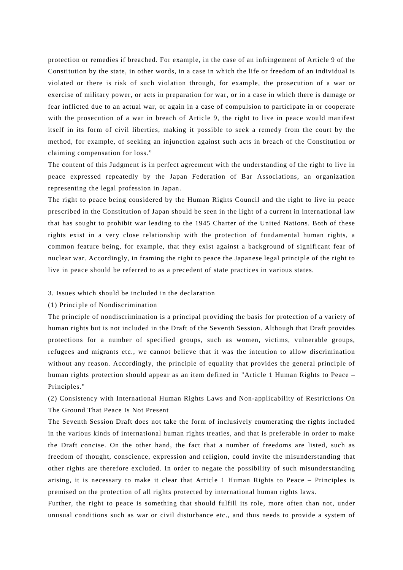protection or remedies if breached. For example, in the case of an infringement of Article 9 of the Constitution by the state, in other words, in a case in which the life or freedom of an individual is violated or there is risk of such violation through, for example, the prosecution of a war or exercise of military power, or acts in preparation for war, or in a case in which there is damage or fear inflicted due to an actual war, or again in a case of compulsion to participate in or cooperate with the prosecution of a war in breach of Article 9, the right to live in peace would manifest itself in its form of civil liberties, making it possible to seek a remedy from the court by the method, for example, of seeking an injunction against such acts in breach of the Constitution or claiming compensation for loss."

The content of this Judgment is in perfect agreement with the understanding of the right to live in peace expressed repeatedly by the Japan Federation of Bar Associations, an organization representing the legal profession in Japan.

The right to peace being considered by the Human Rights Council and the right to live in peace prescribed in the Constitution of Japan should be seen in the light of a current in international law that has sought to prohibit war leading to the 1945 Charter of the United Nations. Both of these rights exist in a very close relationship with the protection of fundamental human rights, a common feature being, for example, that they exist against a background of significant fear of nuclear war. Accordingly, in framing the right to peace the Japanese legal principle of the right to live in peace should be referred to as a precedent of state practices in various states.

# 3. Issues which should be included in the declaration

### (1) Principle of Nondiscrimination

The principle of nondiscrimination is a principal providing the basis for protection of a variety of human rights but is not included in the Draft of the Seventh Session. Although that Draft provides protections for a number of specified groups, such as women, victims, vulnerable groups, refugees and migrants etc., we cannot believe that it was the intention to allow discrimination without any reason. Accordingly, the principle of equality that provides the general principle of human rights protection should appear as an item defined in "Article 1 Human Rights to Peace – Principles."

(2) Consistency with International Human Rights Laws and Non-applicability of Restrictions On The Ground That Peace Is Not Present

The Seventh Session Draft does not take the form of inclusively enumerating the rights included in the various kinds of international human rights treaties, and that is preferable in order to make the Draft concise. On the other hand, the fact that a number of freedoms are listed, such as freedom of thought, conscience, expression and religion, could invite the misunderstanding that other rights are therefore excluded. In order to negate the possibility of such misunderstanding arising, it is necessary to make it clear that Article 1 Human Rights to Peace – Principles is premised on the protection of all rights protected by international human rights laws.

Further, the right to peace is something that should fulfill its role, more often than not, under unusual conditions such as war or civil disturbance etc., and thus needs to provide a system of